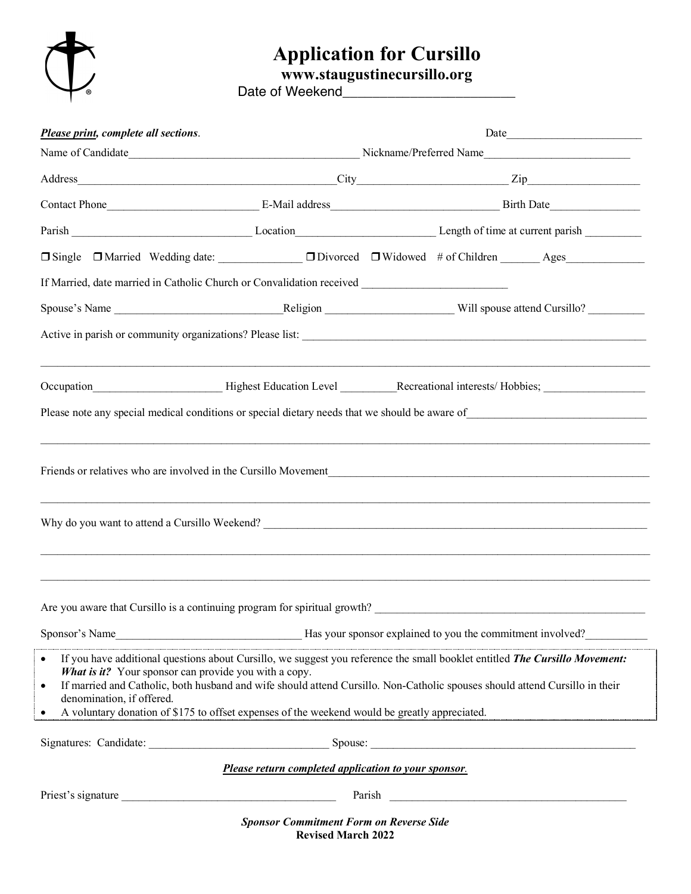

## **Application for Cursillo**

**www.staugustinecursillo.org**

Date of Weekend\_\_\_\_\_\_\_\_\_\_\_\_\_\_\_\_\_\_\_\_\_\_\_

| Please print, complete all sections.                                                                              |                                                                                                                                                                                                                                                                                                                                                             |                                                                                                                                                                                                                                |  |  |
|-------------------------------------------------------------------------------------------------------------------|-------------------------------------------------------------------------------------------------------------------------------------------------------------------------------------------------------------------------------------------------------------------------------------------------------------------------------------------------------------|--------------------------------------------------------------------------------------------------------------------------------------------------------------------------------------------------------------------------------|--|--|
|                                                                                                                   |                                                                                                                                                                                                                                                                                                                                                             |                                                                                                                                                                                                                                |  |  |
|                                                                                                                   |                                                                                                                                                                                                                                                                                                                                                             |                                                                                                                                                                                                                                |  |  |
|                                                                                                                   |                                                                                                                                                                                                                                                                                                                                                             | Contact Phone E-Mail address E-Mail and E-Mail and E-Mail and E-Mail and E-Mail and E-Mail and E-Mail and E-Mail and E-Mail and E-Mail and E-Mail and E-Mail and E-Mail and E-Mail and E-Mail and E-Mail and E-Mail and E-Mail |  |  |
|                                                                                                                   |                                                                                                                                                                                                                                                                                                                                                             |                                                                                                                                                                                                                                |  |  |
|                                                                                                                   |                                                                                                                                                                                                                                                                                                                                                             |                                                                                                                                                                                                                                |  |  |
|                                                                                                                   |                                                                                                                                                                                                                                                                                                                                                             |                                                                                                                                                                                                                                |  |  |
|                                                                                                                   |                                                                                                                                                                                                                                                                                                                                                             |                                                                                                                                                                                                                                |  |  |
|                                                                                                                   |                                                                                                                                                                                                                                                                                                                                                             |                                                                                                                                                                                                                                |  |  |
|                                                                                                                   |                                                                                                                                                                                                                                                                                                                                                             |                                                                                                                                                                                                                                |  |  |
|                                                                                                                   |                                                                                                                                                                                                                                                                                                                                                             | Occupation Mighest Education Level Recreational interests/Hobbies;                                                                                                                                                             |  |  |
| Please note any special medical conditions or special dietary needs that we should be aware of                    |                                                                                                                                                                                                                                                                                                                                                             |                                                                                                                                                                                                                                |  |  |
|                                                                                                                   |                                                                                                                                                                                                                                                                                                                                                             |                                                                                                                                                                                                                                |  |  |
| Why do you want to attend a Cursillo Weekend?                                                                     |                                                                                                                                                                                                                                                                                                                                                             |                                                                                                                                                                                                                                |  |  |
| Are you aware that Cursillo is a continuing program for spiritual growth?<br>Sponsor's Name                       | Has your sponsor explained to you the commitment involved?                                                                                                                                                                                                                                                                                                  |                                                                                                                                                                                                                                |  |  |
|                                                                                                                   |                                                                                                                                                                                                                                                                                                                                                             |                                                                                                                                                                                                                                |  |  |
| $\bullet$<br>What is it? Your sponsor can provide you with a copy.<br>$\bullet$<br>denomination, if offered.<br>٠ | If you have additional questions about Cursillo, we suggest you reference the small booklet entitled The Cursillo Movement:<br>If married and Catholic, both husband and wife should attend Cursillo. Non-Catholic spouses should attend Cursillo in their<br>A voluntary donation of \$175 to offset expenses of the weekend would be greatly appreciated. |                                                                                                                                                                                                                                |  |  |
|                                                                                                                   |                                                                                                                                                                                                                                                                                                                                                             |                                                                                                                                                                                                                                |  |  |
|                                                                                                                   | Please return completed application to your sponsor.                                                                                                                                                                                                                                                                                                        |                                                                                                                                                                                                                                |  |  |
| Priest's signature                                                                                                |                                                                                                                                                                                                                                                                                                                                                             | Parish                                                                                                                                                                                                                         |  |  |
|                                                                                                                   |                                                                                                                                                                                                                                                                                                                                                             |                                                                                                                                                                                                                                |  |  |
|                                                                                                                   | <b>Sponsor Commitment Form on Reverse Side</b><br><b>Revised March 2022</b>                                                                                                                                                                                                                                                                                 |                                                                                                                                                                                                                                |  |  |